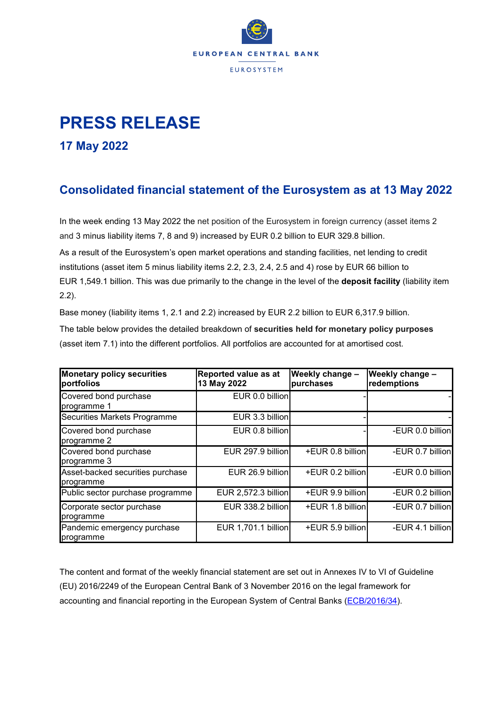

## **PRESS RELEASE**

**17 May 2022** 

## **Consolidated financial statement of the Eurosystem as at 13 May 2022**

In the week ending 13 May 2022 the net position of the Eurosystem in foreign currency (asset items 2 and 3 minus liability items 7, 8 and 9) increased by EUR 0.2 billion to EUR 329.8 billion.

As a result of the Eurosystem's open market operations and standing facilities, net lending to credit institutions (asset item 5 minus liability items 2.2, 2.3, 2.4, 2.5 and 4) rose by EUR 66 billion to EUR 1,549.1 billion. This was due primarily to the change in the level of the **deposit facility** (liability item 2.2).

Base money (liability items 1, 2.1 and 2.2) increased by EUR 2.2 billion to EUR 6,317.9 billion.

The table below provides the detailed breakdown of **securities held for monetary policy purposes** (asset item 7.1) into the different portfolios. All portfolios are accounted for at amortised cost.

| <b>Monetary policy securities</b><br>portfolios | Reported value as at<br>13 May 2022 | Weekly change -<br>purchases | Weekly change -<br>redemptions |
|-------------------------------------------------|-------------------------------------|------------------------------|--------------------------------|
| Covered bond purchase<br>programme 1            | EUR 0.0 billion                     |                              |                                |
| Securities Markets Programme                    | EUR 3.3 billion                     |                              |                                |
| Covered bond purchase<br>programme 2            | EUR 0.8 billion                     |                              | -EUR 0.0 billion               |
| Covered bond purchase<br>programme 3            | EUR 297.9 billion                   | +EUR 0.8 billion             | -EUR 0.7 billion               |
| Asset-backed securities purchase<br>programme   | EUR 26.9 billion                    | +EUR 0.2 billion             | -EUR 0.0 billion               |
| Public sector purchase programme                | <b>EUR 2,572.3 billion</b>          | +EUR 9.9 billion             | -EUR 0.2 billion               |
| Corporate sector purchase<br>programme          | EUR 338.2 billion                   | +EUR 1.8 billion             | -EUR 0.7 billion               |
| Pandemic emergency purchase<br>programme        | EUR 1,701.1 billion                 | +EUR 5.9 billion             | -EUR 4.1 billion               |

The content and format of the weekly financial statement are set out in Annexes IV to VI of Guideline (EU) 2016/2249 of the European Central Bank of 3 November 2016 on the legal framework for accounting and financial reporting in the European System of Central Banks [\(ECB/2016/34\)](https://eur-lex.europa.eu/legal-content/EN/TXT/?qid=1599130224518&uri=CELEX:32016O0034).